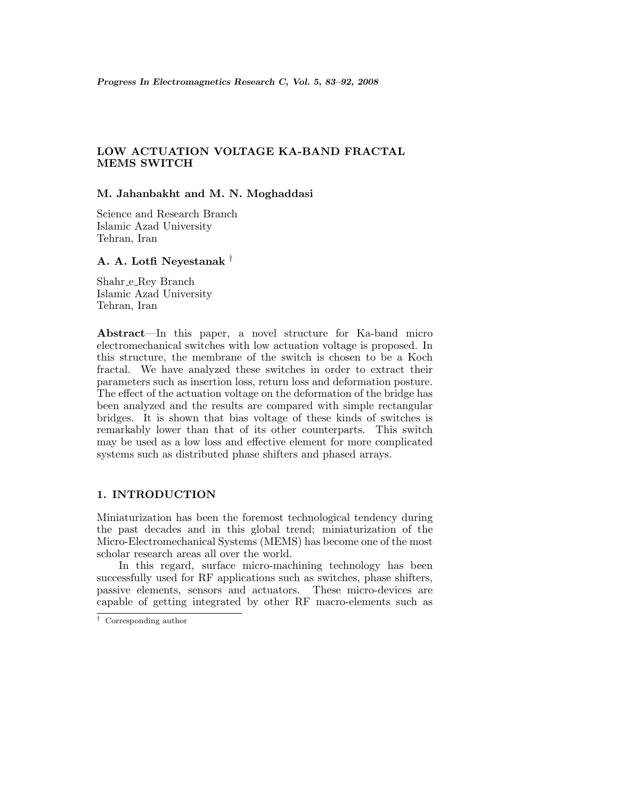# **LOW ACTUATION VOLTAGE KA-BAND FRACTAL MEMS SWITCH**

## **M. Jahanbakht and M. N. Moghaddasi**

Science and Research Branch Islamic Azad University Tehran, Iran

## **A. A. Lotfi Neyestanak** †

Shahr e Rey Branch Islamic Azad University Tehran, Iran

**Abstract**—In this paper, a novel structure for Ka-band micro electromechanical switches with low actuation voltage is proposed. In this structure, the membrane of the switch is chosen to be a Koch fractal. We have analyzed these switches in order to extract their parameters such as insertion loss, return loss and deformation posture. The effect of the actuation voltage on the deformation of the bridge has been analyzed and the results are compared with simple rectangular bridges. It is shown that bias voltage of these kinds of switches is remarkably lower than that of its other counterparts. This switch may be used as a low loss and effective element for more complicated systems such as distributed phase shifters and phased arrays.

# **1. INTRODUCTION**

Miniaturization has been the foremost technological tendency during the past decades and in this global trend; miniaturization of the Micro-Electromechanical Systems (MEMS) has become one of the most scholar research areas all over the world.

In this regard, surface micro-machining technology has been successfully used for RF applications such as switches, phase shifters, passive elements, sensors and actuators. These micro-devices are capable of getting integrated by other RF macro-elements such as

<sup>†</sup> Corresponding author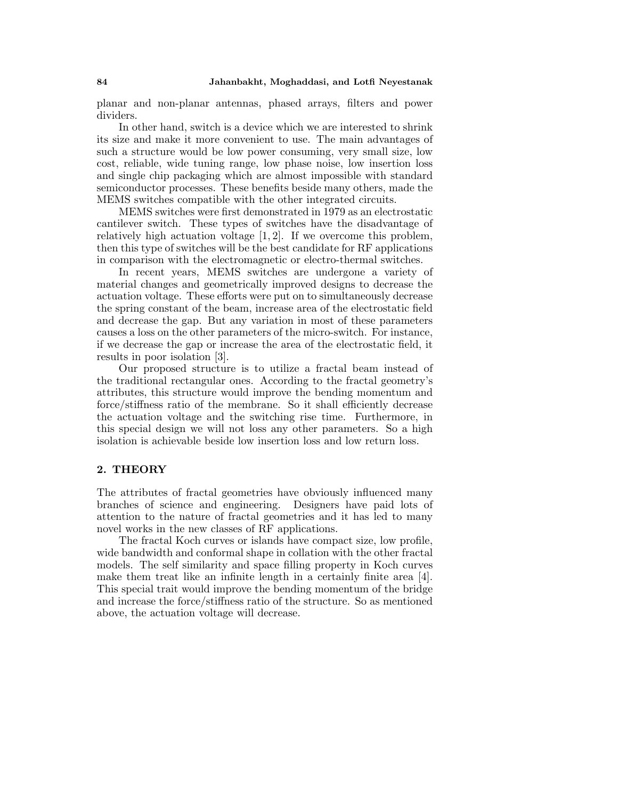planar and non-planar antennas, phased arrays, filters and power dividers.

In other hand, switch is a device which we are interested to shrink its size and make it more convenient to use. The main advantages of such a structure would be low power consuming, very small size, low cost, reliable, wide tuning range, low phase noise, low insertion loss and single chip packaging which are almost impossible with standard semiconductor processes. These benefits beside many others, made the MEMS switches compatible with the other integrated circuits.

MEMS switches were first demonstrated in 1979 as an electrostatic cantilever switch. These types of switches have the disadvantage of relatively high actuation voltage  $[1, 2]$ . If we overcome this problem, then this type of switches will be the best candidate for RF applications in comparison with the electromagnetic or electro-thermal switches.

In recent years, MEMS switches are undergone a variety of material changes and geometrically improved designs to decrease the actuation voltage. These efforts were put on to simultaneously decrease the spring constant of the beam, increase area of the electrostatic field and decrease the gap. But any variation in most of these parameters causes a loss on the other parameters of the micro-switch. For instance, if we decrease the gap or increase the area of the electrostatic field, it results in poor isolation [3].

Our proposed structure is to utilize a fractal beam instead of the traditional rectangular ones. According to the fractal geometry's attributes, this structure would improve the bending momentum and force/stiffness ratio of the membrane. So it shall efficiently decrease the actuation voltage and the switching rise time. Furthermore, in this special design we will not loss any other parameters. So a high isolation is achievable beside low insertion loss and low return loss.

## **2. THEORY**

The attributes of fractal geometries have obviously influenced many branches of science and engineering. Designers have paid lots of attention to the nature of fractal geometries and it has led to many novel works in the new classes of RF applications.

The fractal Koch curves or islands have compact size, low profile, wide bandwidth and conformal shape in collation with the other fractal models. The self similarity and space filling property in Koch curves make them treat like an infinite length in a certainly finite area [4]. This special trait would improve the bending momentum of the bridge and increase the force/stiffness ratio of the structure. So as mentioned above, the actuation voltage will decrease.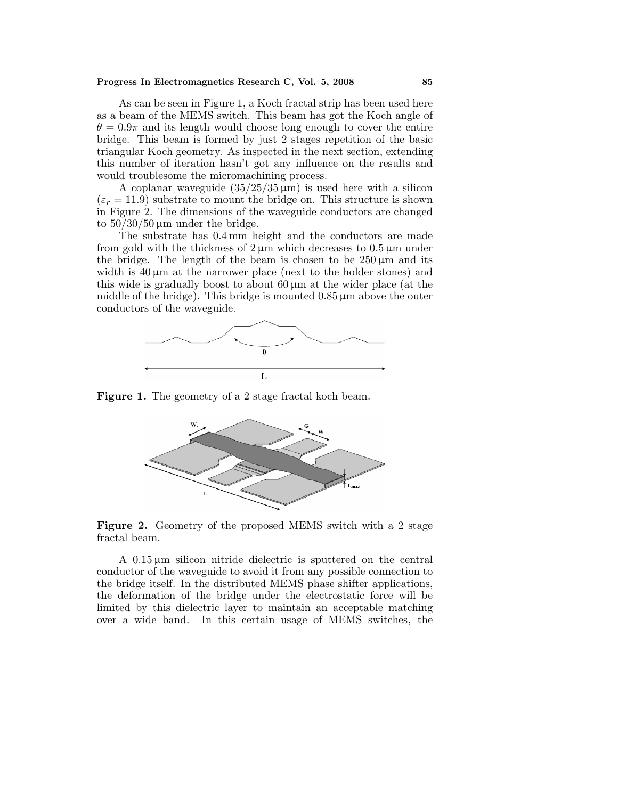#### **Progress In Electromagnetics Research C, Vol. 5, 2008 85**

As can be seen in Figure 1, a Koch fractal strip has been used here as a beam of the MEMS switch. This beam has got the Koch angle of  $\theta = 0.9\pi$  and its length would choose long enough to cover the entire bridge. This beam is formed by just 2 stages repetition of the basic triangular Koch geometry. As inspected in the next section, extending this number of iteration hasn't got any influence on the results and would troublesome the micromachining process.

A coplanar waveguide  $(35/25/35 \,\mu\text{m})$  is used here with a silicon  $(\varepsilon_r = 11.9)$  substrate to mount the bridge on. This structure is shown in Figure 2. The dimensions of the waveguide conductors are changed to  $50/30/50 \,\mathrm{\mu m}$  under the bridge.

The substrate has 0.4 mm height and the conductors are made from gold with the thickness of  $2 \mu m$  which decreases to  $0.5 \mu m$  under the bridge. The length of the beam is chosen to be  $250 \,\mu m$  and its width is  $40 \mu m$  at the narrower place (next to the holder stones) and this wide is gradually boost to about  $60 \mu m$  at the wider place (at the middle of the bridge). This bridge is mounted  $0.85 \,\mu m$  above the outer conductors of the waveguide.



**Figure 1.** The geometry of a 2 stage fractal koch beam.



**Figure 2.** Geometry of the proposed MEMS switch with a 2 stage fractal beam.

A 0.15 µm silicon nitride dielectric is sputtered on the central conductor of the waveguide to avoid it from any possible connection to the bridge itself. In the distributed MEMS phase shifter applications, the deformation of the bridge under the electrostatic force will be limited by this dielectric layer to maintain an acceptable matching over a wide band. In this certain usage of MEMS switches, the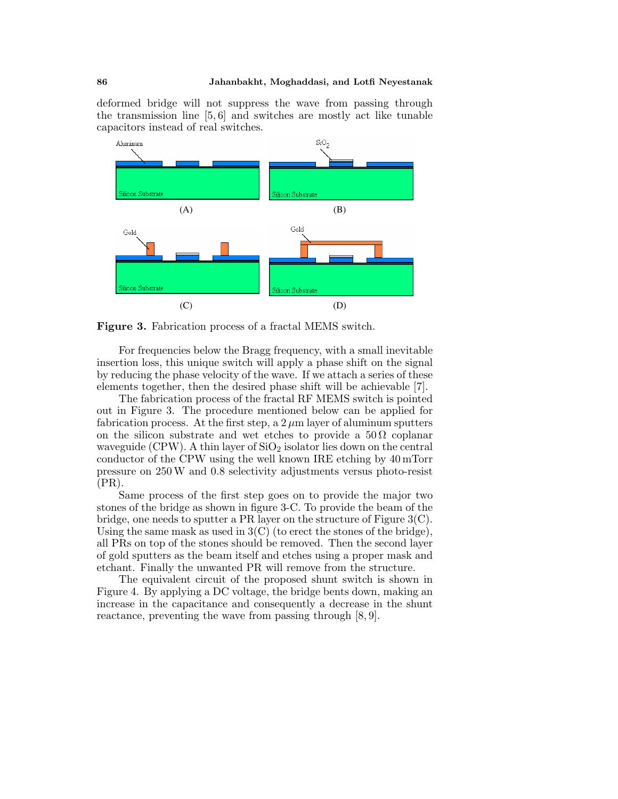deformed bridge will not suppress the wave from passing through the transmission line [5, 6] and switches are mostly act like tunable capacitors instead of real switches.



**Figure 3.** Fabrication process of a fractal MEMS switch.

For frequencies below the Bragg frequency, with a small inevitable insertion loss, this unique switch will apply a phase shift on the signal by reducing the phase velocity of the wave. If we attach a series of these elements together, then the desired phase shift will be achievable [7].

The fabrication process of the fractal RF MEMS switch is pointed out in Figure 3. The procedure mentioned below can be applied for fabrication process. At the first step, a  $2 \mu m$  layer of aluminum sputters on the silicon substrate and wet etches to provide a  $50\Omega$  coplanar waveguide (CPW). A thin layer of  $SiO<sub>2</sub>$  isolator lies down on the central conductor of the CPW using the well known IRE etching by 40 mTorr pressure on 250 W and 0.8 selectivity adjustments versus photo-resist (PR).

Same process of the first step goes on to provide the major two stones of the bridge as shown in figure 3-C. To provide the beam of the bridge, one needs to sputter a PR layer on the structure of Figure 3(C). Using the same mask as used in  $3(C)$  (to erect the stones of the bridge), all PRs on top of the stones should be removed. Then the second layer of gold sputters as the beam itself and etches using a proper mask and etchant. Finally the unwanted PR will remove from the structure.

The equivalent circuit of the proposed shunt switch is shown in Figure 4. By applying a DC voltage, the bridge bents down, making an increase in the capacitance and consequently a decrease in the shunt reactance, preventing the wave from passing through [8, 9].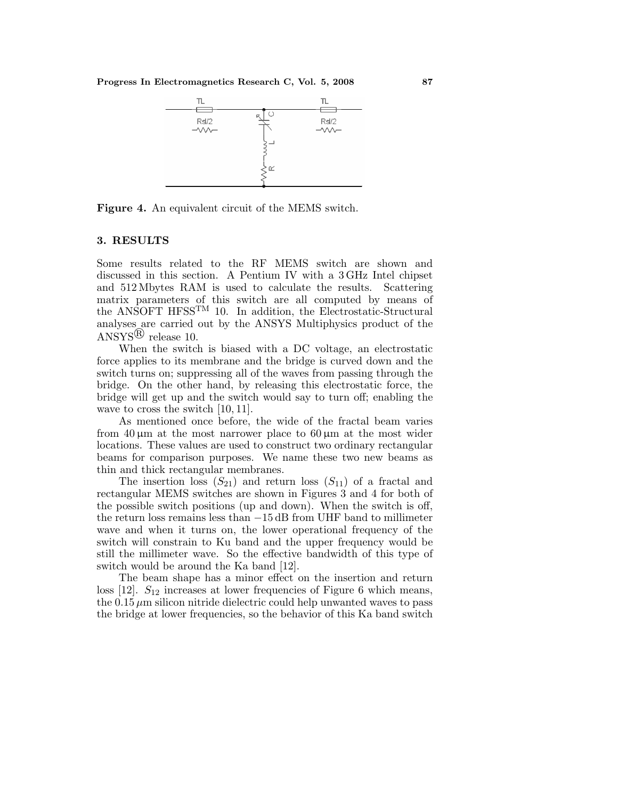**Progress In Electromagnetics Research C, Vol. 5, 2008 87**



**Figure 4.** An equivalent circuit of the MEMS switch.

## **3. RESULTS**

Some results related to the RF MEMS switch are shown and discussed in this section. A Pentium IV with a 3 GHz Intel chipset and 512 Mbytes RAM is used to calculate the results. Scattering matrix parameters of this switch are all computed by means of the ANSOFT HFSSTM 10. In addition, the Electrostatic-Structural analyses are carried out by the ANSYS Multiphysics product of the  $ANSYS^{(R)}$  release 10.

When the switch is biased with a DC voltage, an electrostatic force applies to its membrane and the bridge is curved down and the switch turns on; suppressing all of the waves from passing through the bridge. On the other hand, by releasing this electrostatic force, the bridge will get up and the switch would say to turn off; enabling the wave to cross the switch [10, 11].

As mentioned once before, the wide of the fractal beam varies from 40  $\mu$ m at the most narrower place to 60  $\mu$ m at the most wider locations. These values are used to construct two ordinary rectangular beams for comparison purposes. We name these two new beams as thin and thick rectangular membranes.

The insertion loss  $(S_{21})$  and return loss  $(S_{11})$  of a fractal and rectangular MEMS switches are shown in Figures 3 and 4 for both of the possible switch positions (up and down). When the switch is off, the return loss remains less than −15 dB from UHF band to millimeter wave and when it turns on, the lower operational frequency of the switch will constrain to Ku band and the upper frequency would be still the millimeter wave. So the effective bandwidth of this type of switch would be around the Ka band [12].

The beam shape has a minor effect on the insertion and return loss [12].  $S_{12}$  increases at lower frequencies of Figure 6 which means, the  $0.15 \mu$ m silicon nitride dielectric could help unwanted waves to pass the bridge at lower frequencies, so the behavior of this Ka band switch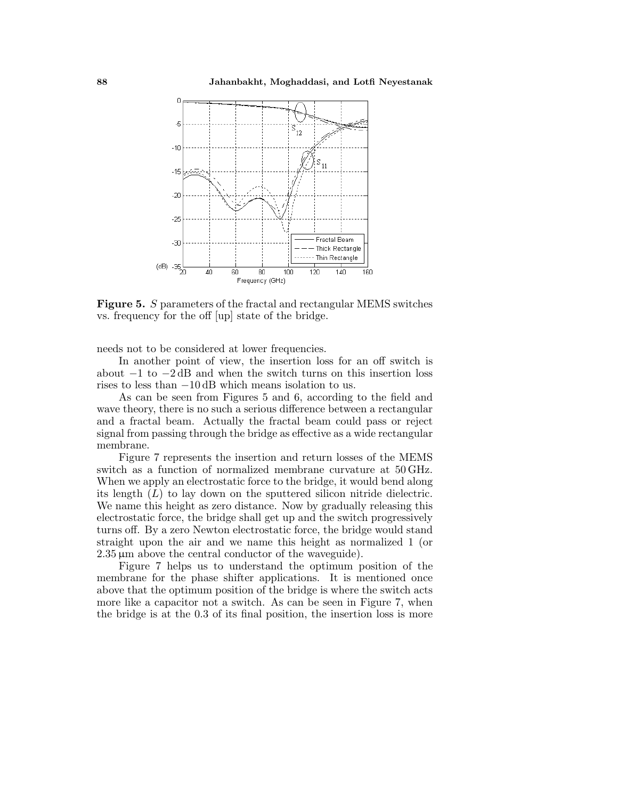

**Figure 5.** S parameters of the fractal and rectangular MEMS switches vs. frequency for the off [up] state of the bridge.

needs not to be considered at lower frequencies.

In another point of view, the insertion loss for an off switch is about −1 to −2 dB and when the switch turns on this insertion loss rises to less than −10 dB which means isolation to us.

As can be seen from Figures 5 and 6, according to the field and wave theory, there is no such a serious difference between a rectangular and a fractal beam. Actually the fractal beam could pass or reject signal from passing through the bridge as effective as a wide rectangular membrane.

Figure 7 represents the insertion and return losses of the MEMS switch as a function of normalized membrane curvature at 50 GHz. When we apply an electrostatic force to the bridge, it would bend along its length  $(L)$  to lay down on the sputtered silicon nitride dielectric. We name this height as zero distance. Now by gradually releasing this electrostatic force, the bridge shall get up and the switch progressively turns off. By a zero Newton electrostatic force, the bridge would stand straight upon the air and we name this height as normalized 1 (or  $2.35 \,\mu\text{m}$  above the central conductor of the waveguide).

Figure 7 helps us to understand the optimum position of the membrane for the phase shifter applications. It is mentioned once above that the optimum position of the bridge is where the switch acts more like a capacitor not a switch. As can be seen in Figure 7, when the bridge is at the 0.3 of its final position, the insertion loss is more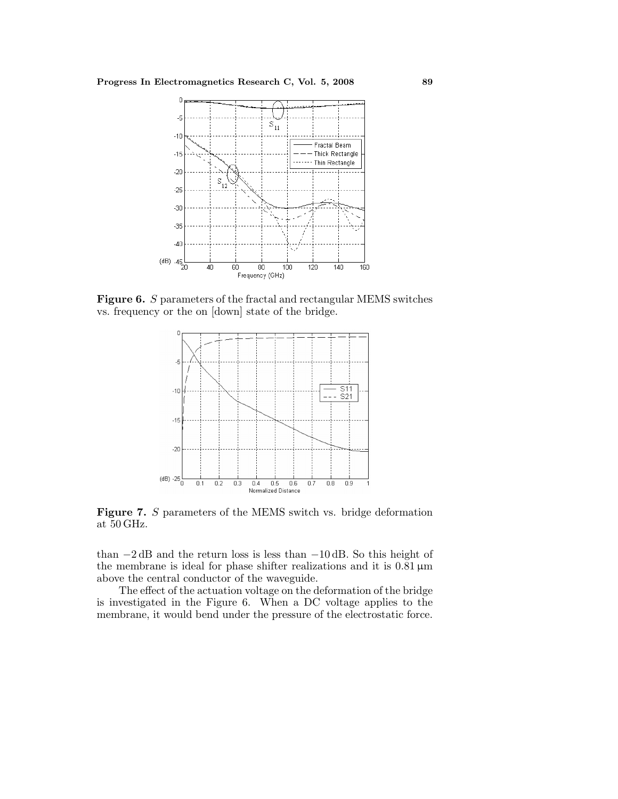

**Figure 6.** S parameters of the fractal and rectangular MEMS switches vs. frequency or the on [down] state of the bridge.



**Figure 7.** S parameters of the MEMS switch vs. bridge deformation at 50 GHz.

than −2 dB and the return loss is less than −10 dB. So this height of the membrane is ideal for phase shifter realizations and it is  $0.81 \,\mu m$ above the central conductor of the waveguide.

The effect of the actuation voltage on the deformation of the bridge is investigated in the Figure 6. When a DC voltage applies to the membrane, it would bend under the pressure of the electrostatic force.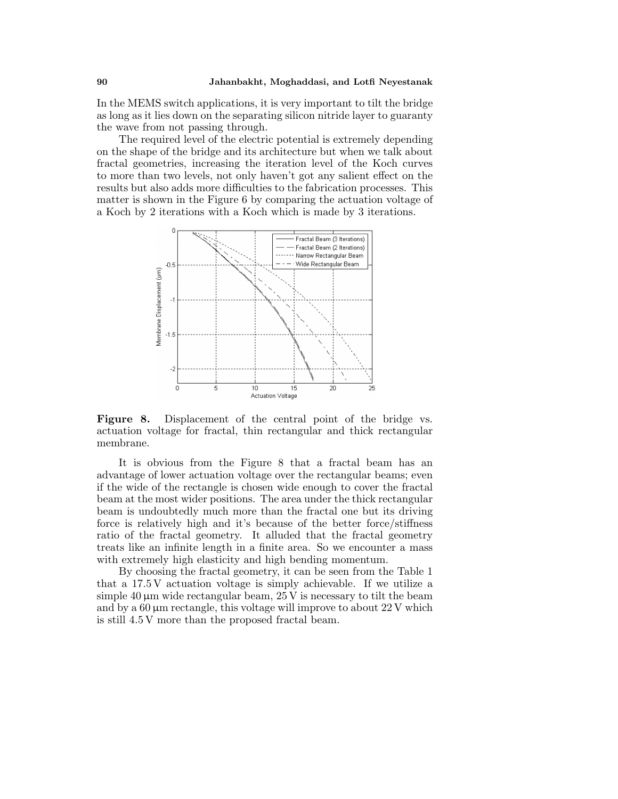In the MEMS switch applications, it is very important to tilt the bridge as long as it lies down on the separating silicon nitride layer to guaranty the wave from not passing through.

The required level of the electric potential is extremely depending on the shape of the bridge and its architecture but when we talk about fractal geometries, increasing the iteration level of the Koch curves to more than two levels, not only haven't got any salient effect on the results but also adds more difficulties to the fabrication processes. This matter is shown in the Figure 6 by comparing the actuation voltage of a Koch by 2 iterations with a Koch which is made by 3 iterations.



Figure 8. Displacement of the central point of the bridge vs. actuation voltage for fractal, thin rectangular and thick rectangular membrane.

It is obvious from the Figure 8 that a fractal beam has an advantage of lower actuation voltage over the rectangular beams; even if the wide of the rectangle is chosen wide enough to cover the fractal beam at the most wider positions. The area under the thick rectangular beam is undoubtedly much more than the fractal one but its driving force is relatively high and it's because of the better force/stiffness ratio of the fractal geometry. It alluded that the fractal geometry treats like an infinite length in a finite area. So we encounter a mass with extremely high elasticity and high bending momentum.

By choosing the fractal geometry, it can be seen from the Table 1 that a 17.5 V actuation voltage is simply achievable. If we utilize a simple 40  $\mu$ m wide rectangular beam, 25 V is necessary to tilt the beam and by a  $60 \mu m$  rectangle, this voltage will improve to about  $22 V$  which is still 4.5 V more than the proposed fractal beam.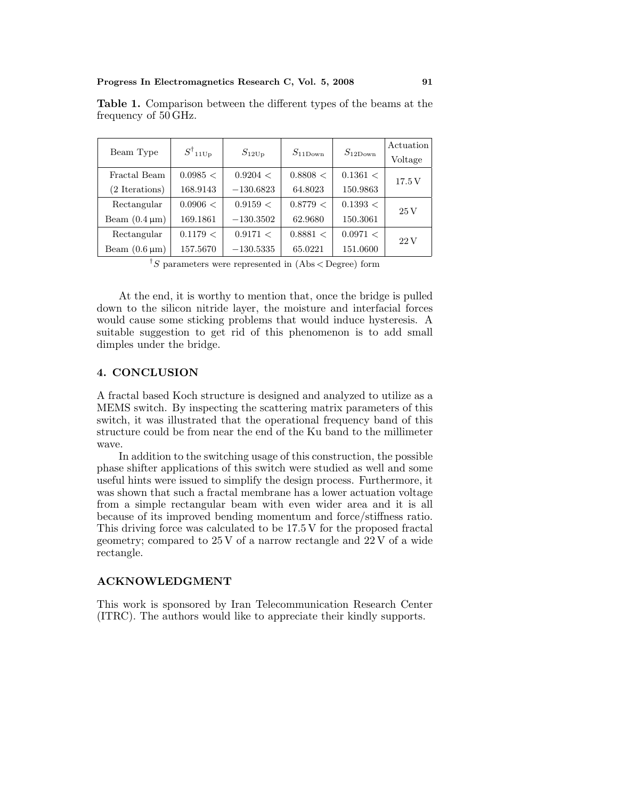| Beam Type                  | $S^{\dagger}$ 11Up | $S_{12Up}$  | $S_{11\text{Down}}$ | $S_{12\text{Down}}$ | Actuation<br>Voltage |
|----------------------------|--------------------|-------------|---------------------|---------------------|----------------------|
| Fractal Beam               | 0.0985 <           | 0.9204 <    | 0.8808 <            | 0.1361 <            | 17.5V                |
| (2 Iterations)             | 168.9143           | $-130.6823$ | 64.8023             | 150.9863            |                      |
| Rectangular                | 0.0906 <           | 0.9159 <    | 0.8779 <            | 0.1393 <            | $25\,\mathrm{V}$     |
| Beam $(0.4 \,\mu m)$       | 169.1861           | $-130.3502$ | 62.9680             | 150.3061            |                      |
| Rectangular                | 0.1179 <           | 0.9171 <    | 0.8881 <            | 0.0971 <            | 22V                  |
| Beam $(0.6 \,\mu\text{m})$ | 157.5670           | $-130.5335$ | 65.0221             | 151.0600            |                      |

**Table 1.** Comparison between the different types of the beams at the frequency of 50 GHz.

<sup> $\dagger$ </sup>S parameters were represented in  $(Abs <$ Degree) form

At the end, it is worthy to mention that, once the bridge is pulled down to the silicon nitride layer, the moisture and interfacial forces would cause some sticking problems that would induce hysteresis. A suitable suggestion to get rid of this phenomenon is to add small dimples under the bridge.

## **4. CONCLUSION**

A fractal based Koch structure is designed and analyzed to utilize as a MEMS switch. By inspecting the scattering matrix parameters of this switch, it was illustrated that the operational frequency band of this structure could be from near the end of the Ku band to the millimeter wave.

In addition to the switching usage of this construction, the possible phase shifter applications of this switch were studied as well and some useful hints were issued to simplify the design process. Furthermore, it was shown that such a fractal membrane has a lower actuation voltage from a simple rectangular beam with even wider area and it is all because of its improved bending momentum and force/stiffness ratio. This driving force was calculated to be 17.5 V for the proposed fractal geometry; compared to 25 V of a narrow rectangle and 22 V of a wide rectangle.

## **ACKNOWLEDGMENT**

This work is sponsored by Iran Telecommunication Research Center (ITRC). The authors would like to appreciate their kindly supports.